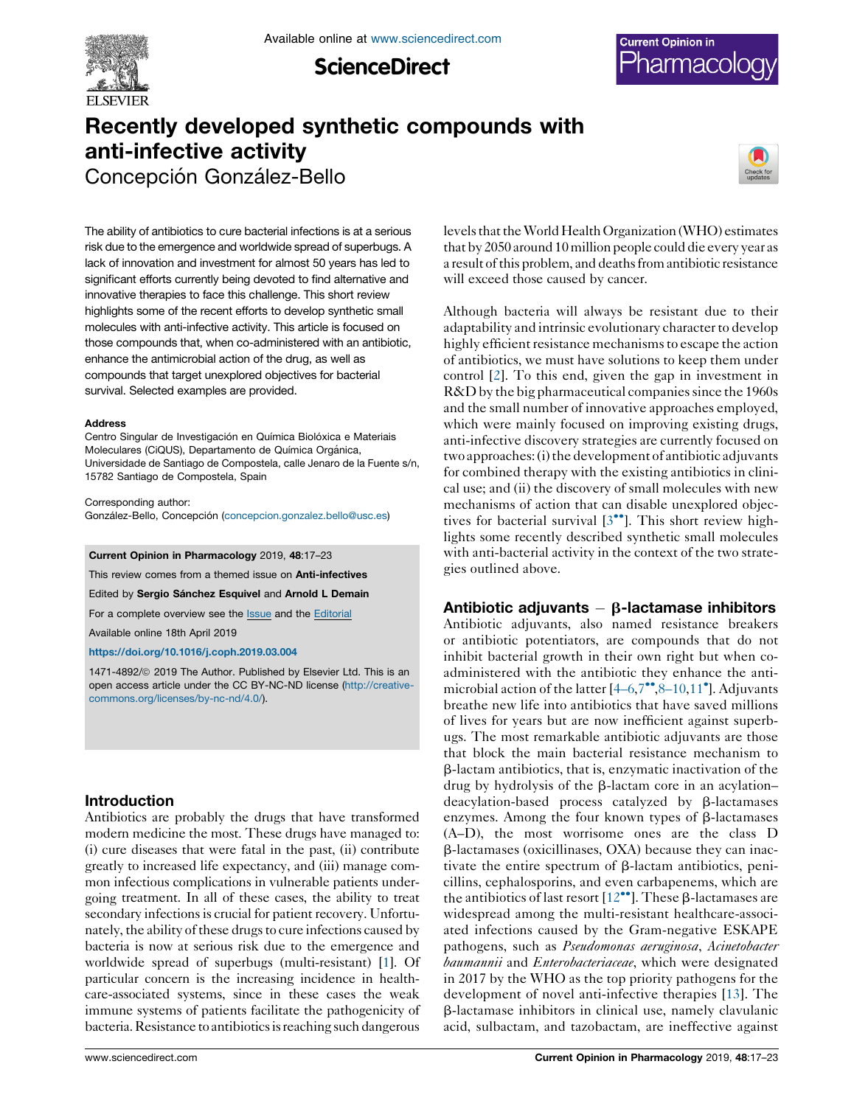

**ScienceDirect** 



# Recently developed synthetic compounds with anti-infective activity Concepción González-Bello



The ability of antibiotics to cure bacterial infections is at a serious risk due to the emergence and worldwide spread of superbugs. A lack of innovation and investment for almost 50 years has led to significant efforts currently being devoted to find alternative and innovative therapies to face this challenge. This short review highlights some of the recent efforts to develop synthetic small molecules with anti-infective activity. This article is focused on those compounds that, when co-administered with an antibiotic, enhance the antimicrobial action of the drug, as well as compounds that target unexplored objectives for bacterial survival. Selected examples are provided.

#### Address

Centro Singular de Investigación en Química Biolóxica e Materiais Moleculares (CiQUS), Departamento de Química Orgánica, Universidade de Santiago de Compostela, calle Jenaro de la Fuente s/n, 15782 Santiago de Compostela, Spain

Corresponding author: González-Bello, Concepción [\(concepcion.gonzalez.bello@usc.es\)](mailto:concepcion.gonzalez.bello@usc.es)

#### Current Opinion in Pharmacology 2019, 48:17–23

This review comes from a themed issue on **Anti-infectives** 

Edited by Sergio Sánchez Esquivel and Arnold L Demain

For a complete overview see the [Issue](http://www.sciencedirect.com/science/journal/14714892/48) and the [Editorial](https://doi.org/10.1016/j.coph.2019.08.002)

Available online 18th April 2019

<https://doi.org/10.1016/j.coph.2019.03.004>

1471-4892/@ 2019 The Author. Published by Elsevier Ltd. This is an open access article under the CC BY-NC-ND license [\(http://creative](http://creativecommons.org/licenses/by-nc-nd/4.0/)[commons.org/licenses/by-nc-nd/4.0/](http://creativecommons.org/licenses/by-nc-nd/4.0/)).

# Introduction

Antibiotics are probably the drugs that have transformed modern medicine the most. These drugs have managed to: (i) cure diseases that were fatal in the past, (ii) contribute greatly to increased life expectancy, and (iii) manage common infectious complications in vulnerable patients undergoing treatment. In all of these cases, the ability to treat secondary infections is crucial for patient recovery. Unfortunately, the ability of these drugs to cure infections caused by bacteria is now at serious risk due to the emergence and worldwide spread of superbugs (multi-resistant) [[1](#page-4-0)]. Of particular concern is the increasing incidence in healthcare-associated systems, since in these cases the weak immune systems of patients facilitate the pathogenicity of bacteria. Resistance to antibiotics is reaching such dangerous

levels that the World Health Organization (WHO) estimates that by 2050 around 10 million people could die every year as a result of this problem, and deaths from antibiotic resistance will exceed those caused by cancer.

Although bacteria will always be resistant due to their adaptability and intrinsic evolutionary character to develop highly efficient resistance mechanisms to escape the action of antibiotics, we must have solutions to keep them under control [\[2](#page-4-0)]. To this end, given the gap in investment in R&D by the big pharmaceutical companies since the 1960s and the small number of innovative approaches employed, which were mainly focused on improving existing drugs, anti-infective discovery strategies are currently focused on two approaches: (i) the development of antibiotic adjuvants for combined therapy with the existing antibiotics in clinical use; and (ii) the discovery of small molecules with new mechanisms of action that can disable unexplored objectives for bacterial survival  $[3\bullet\bullet]$ . This short [review](#page-4-0) highlights some recently described synthetic small molecules with anti-bacterial activity in the context of the two strategies outlined above.

# Antibiotic adjuvants  $-\beta$ -lactamase inhibitors

Antibiotic adjuvants, also named resistance breakers or antibiotic potentiators, are compounds that do not inhibit bacterial growth in their own right but when coadministered with the antibiotic they enhance the antimicrobial action of the latter  $[4-6,7$ <sup>\*\*</sup>,8-10,[11](#page-4-0)<sup>\*</sup>]. Adjuvants breathe new life into antibiotics that have saved millions of lives for years but are now inefficient against superbugs. The most remarkable antibiotic adjuvants are those that block the main bacterial resistance mechanism to  $\beta$ -lactam antibiotics, that is, enzymatic inactivation of the drug by hydrolysis of the  $\beta$ -lactam core in an acylationdeacylation-based process catalyzed by  $\beta$ -lactamases enzymes. Among the four known types of  $\beta$ -lactamases (A–D), the most worrisome ones are the class D  $\beta$ -lactamases (oxicillinases, OXA) because they can inactivate the entire spectrum of b-lactam antibiotics, penicillins, cephalosporins, and even carbapenems, which are the antibiotics of last resort  $[12^{\bullet\bullet}]$ . These  $\beta$ [-lactamases](#page-4-0) are widespread among the multi-resistant healthcare-associated infections caused by the Gram-negative ESKAPE pathogens, such as Pseudomonas aeruginosa, Acinetobacter baumannii and Enterobacteriaceae, which were designated in 2017 by the WHO as the top priority pathogens for the development of novel anti-infective therapies [\[13\]](#page-4-0). The b-lactamase inhibitors in clinical use, namely clavulanic acid, sulbactam, and tazobactam, are ineffective against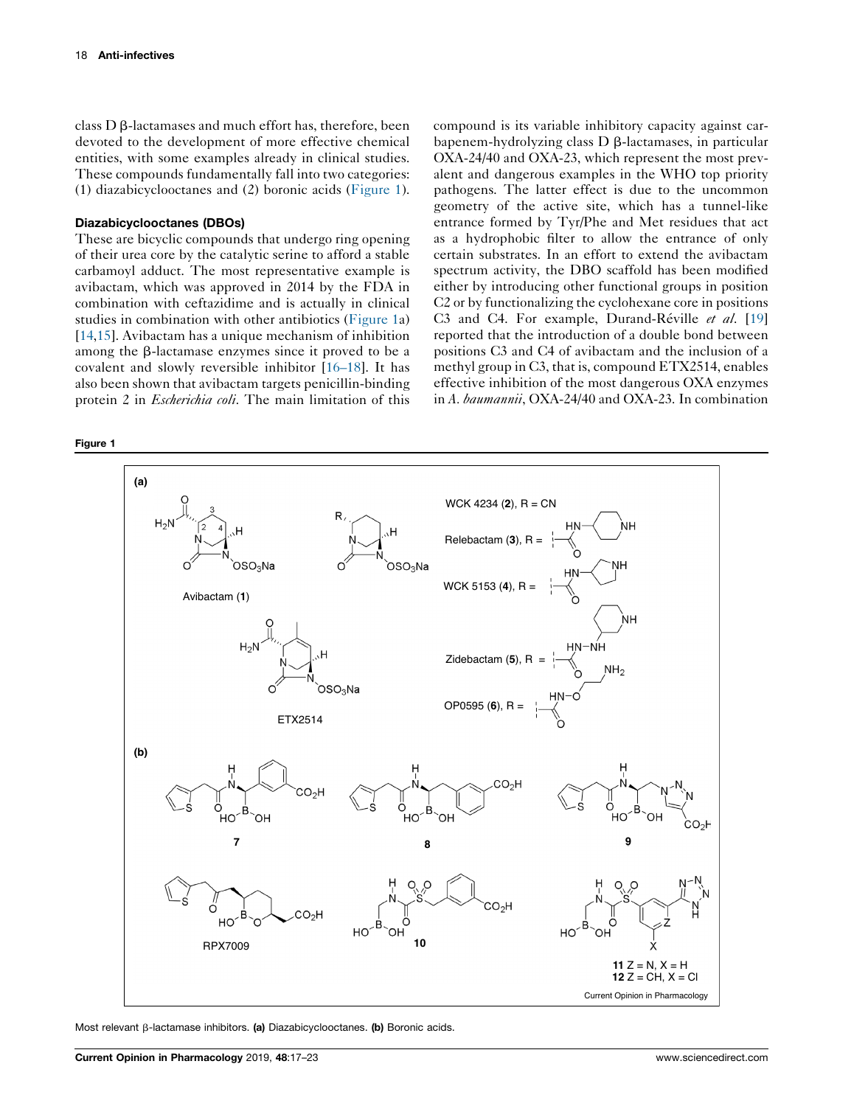<span id="page-1-0"></span>class D  $\beta$ -lactamases and much effort has, therefore, been devoted to the development of more effective chemical entities, with some examples already in clinical studies. These compounds fundamentally fall into two categories: (1) diazabicyclooctanes and (2) boronic acids (Figure 1).

### Diazabicyclooctanes (DBOs)

These are bicyclic compounds that undergo ring opening of their urea core by the catalytic serine to afford a stable carbamoyl adduct. The most representative example is avibactam, which was approved in 2014 by the FDA in combination with ceftazidime and is actually in clinical studies in combination with other antibiotics (Figure 1a) [\[14](#page-5-0),[15\]](#page-5-0). Avibactam has a unique mechanism of inhibition among the  $\beta$ -lactamase enzymes since it proved to be a covalent and slowly reversible inhibitor [[16–18\]](#page-5-0). It has also been shown that avibactam targets penicillin-binding protein 2 in Escherichia coli. The main limitation of this

Figure 1

compound is its variable inhibitory capacity against carbapenem-hydrolyzing class  $D \beta$ -lactamases, in particular OXA-24/40 and OXA-23, which represent the most prevalent and dangerous examples in the WHO top priority pathogens. The latter effect is due to the uncommon geometry of the active site, which has a tunnel-like entrance formed by Tyr/Phe and Met residues that act as a hydrophobic filter to allow the entrance of only certain substrates. In an effort to extend the avibactam spectrum activity, the DBO scaffold has been modified either by introducing other functional groups in position C2 or by functionalizing the cyclohexane core in positions C3 and C4. For example, Durand-Réville et al.  $[19]$  $[19]$ reported that the introduction of a double bond between positions C3 and C4 of avibactam and the inclusion of a methyl group in C3, that is, compound ETX2514, enables effective inhibition of the most dangerous OXA enzymes in A. baumannii, OXA-24/40 and OXA-23. In combination



Most relevant  $\beta$ -lactamase inhibitors. (a) Diazabicyclooctanes. (b) Boronic acids.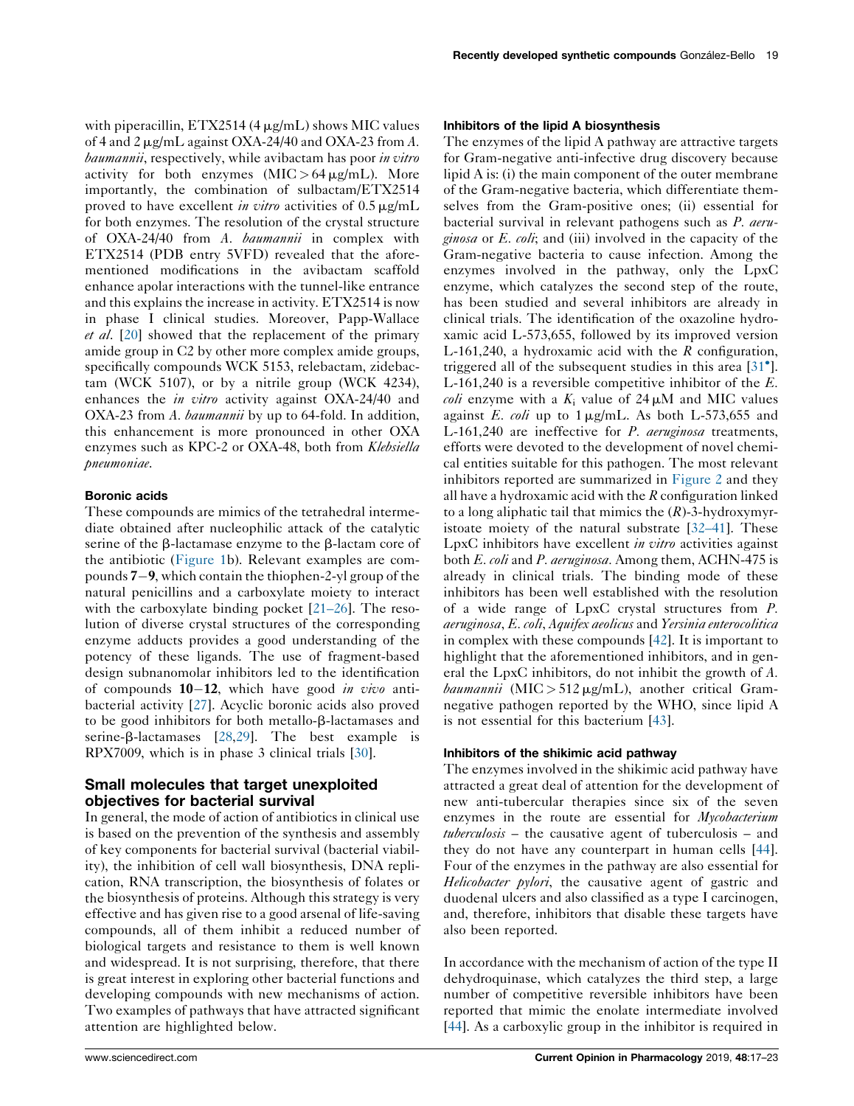with piperacillin,  $ETX2514 (4 \mu g/mL)$  shows MIC values of 4 and 2  $\mu$ g/mL against OXA-24/40 and OXA-23 from A. baumannii, respectively, while avibactam has poor in vitro activity for both enzymes  $(MIC > 64 \mu g/mL)$ . More importantly, the combination of sulbactam/ETX2514 proved to have excellent in vitro activities of  $0.5 \mu g/mL$ for both enzymes. The resolution of the crystal structure of OXA-24/40 from A. baumannii in complex with ETX2514 (PDB entry 5VFD) revealed that the aforementioned modifications in the avibactam scaffold enhance apolar interactions with the tunnel-like entrance and this explains the increase in activity. ETX2514 is now in phase I clinical studies. Moreover, Papp-Wallace et al. [[20\]](#page-5-0) showed that the replacement of the primary amide group in C2 by other more complex amide groups, specifically compounds WCK 5153, relebactam, zidebactam (WCK 5107), or by a nitrile group (WCK 4234), enhances the *in vitro* activity against OXA-24/40 and OXA-23 from A. baumannii by up to 64-fold. In addition, this enhancement is more pronounced in other OXA enzymes such as KPC-2 or OXA-48, both from Klebsiella pneumoniae.

## Boronic acids

These compounds are mimics of the tetrahedral intermediate obtained after nucleophilic attack of the catalytic serine of the  $\beta$ -lactamase enzyme to the  $\beta$ -lactam core of the antibiotic ([Figure](#page-1-0) 1b). Relevant examples are compounds  $7-9$ , which contain the thiophen-2-yl group of the natural penicillins and a carboxylate moiety to interact with the carboxylate binding pocket  $[21-26]$ . The resolution of diverse crystal structures of the corresponding enzyme adducts provides a good understanding of the potency of these ligands. The use of fragment-based design subnanomolar inhibitors led to the identification of compounds  $10-12$ , which have good in vivo antibacterial activity [[27\]](#page-5-0). Acyclic boronic acids also proved to be good inhibitors for both metallo- $\beta$ -lactamases and serine- $\beta$ -lactamases [[28,29](#page-5-0)]. The best example is RPX7009, which is in phase 3 clinical trials [\[30](#page-5-0)].

# Small molecules that target unexploited objectives for bacterial survival

In general, the mode of action of antibiotics in clinical use is based on the prevention of the synthesis and assembly of key components for bacterial survival (bacterial viability), the inhibition of cell wall biosynthesis, DNA replication, RNA transcription, the biosynthesis of folates or the biosynthesis of proteins. Although this strategy is very effective and has given rise to a good arsenal of life-saving compounds, all of them inhibit a reduced number of biological targets and resistance to them is well known and widespread. It is not surprising, therefore, that there is great interest in exploring other bacterial functions and developing compounds with new mechanisms of action. Two examples of pathways that have attracted significant attention are highlighted below.

## Inhibitors of the lipid A biosynthesis

The enzymes of the lipid A pathway are attractive targets for Gram-negative anti-infective drug discovery because lipid A is: (i) the main component of the outer membrane of the Gram-negative bacteria, which differentiate themselves from the Gram-positive ones; (ii) essential for bacterial survival in relevant pathogens such as P. aeru*ginosa* or  $E$ . *coli*; and (iii) involved in the capacity of the Gram-negative bacteria to cause infection. Among the enzymes involved in the pathway, only the LpxC enzyme, which catalyzes the second step of the route, has been studied and several inhibitors are already in clinical trials. The identification of the oxazoline hydroxamic acid L-573,655, followed by its improved version L-161,240, a hydroxamic acid with the  $R$  configuration, triggered all of the subsequent studies in this area [[31](#page-5-0) ]. L-161,240 is a reversible competitive inhibitor of the  $E$ . *coli* enzyme with a  $K_i$  value of 24  $\mu$ M and MIC values against E. coli up to  $1 \mu g/mL$ . As both L-573,655 and L-161,240 are ineffective for P. aeruginosa treatments, efforts were devoted to the development of novel chemical entities suitable for this pathogen. The most relevant inhibitors reported are summarized in [Figure](#page-3-0) 2 and they all have a hydroxamic acid with the  $R$  configuration linked to a long aliphatic tail that mimics the  $(R)$ -3-hydroxymyristoate moiety of the natural substrate [[32–41\]](#page-5-0). These LpxC inhibitors have excellent *in vitro* activities against both *E. coli* and *P. aeruginosa*. Among them, ACHN-475 is already in clinical trials. The binding mode of these inhibitors has been well established with the resolution of a wide range of LpxC crystal structures from P. aeruginosa, E. coli, Aquifex aeolicus and Yersinia enterocolitica in complex with these compounds [[42\]](#page-5-0). It is important to highlight that the aforementioned inhibitors, and in general the LpxC inhibitors, do not inhibit the growth of A. *baumannii* (MIC > 512  $\mu$ g/mL), another critical Gramnegative pathogen reported by the WHO, since lipid A is not essential for this bacterium [\[43](#page-5-0)].

### Inhibitors of the shikimic acid pathway

The enzymes involved in the shikimic acid pathway have attracted a great deal of attention for the development of new anti-tubercular therapies since six of the seven enzymes in the route are essential for *Mycobacterium* tuberculosis – the causative agent of tuberculosis – and they do not have any counterpart in human cells [[44\]](#page-5-0). Four of the enzymes in the pathway are also essential for Helicobacter pylori, the causative agent of gastric and duodenal ulcers and also classified as a type I carcinogen, and, therefore, inhibitors that disable these targets have also been reported.

In accordance with the mechanism of action of the type II dehydroquinase, which catalyzes the third step, a large number of competitive reversible inhibitors have been reported that mimic the enolate intermediate involved [[44](#page-5-0)]. As a carboxylic group in the inhibitor is required in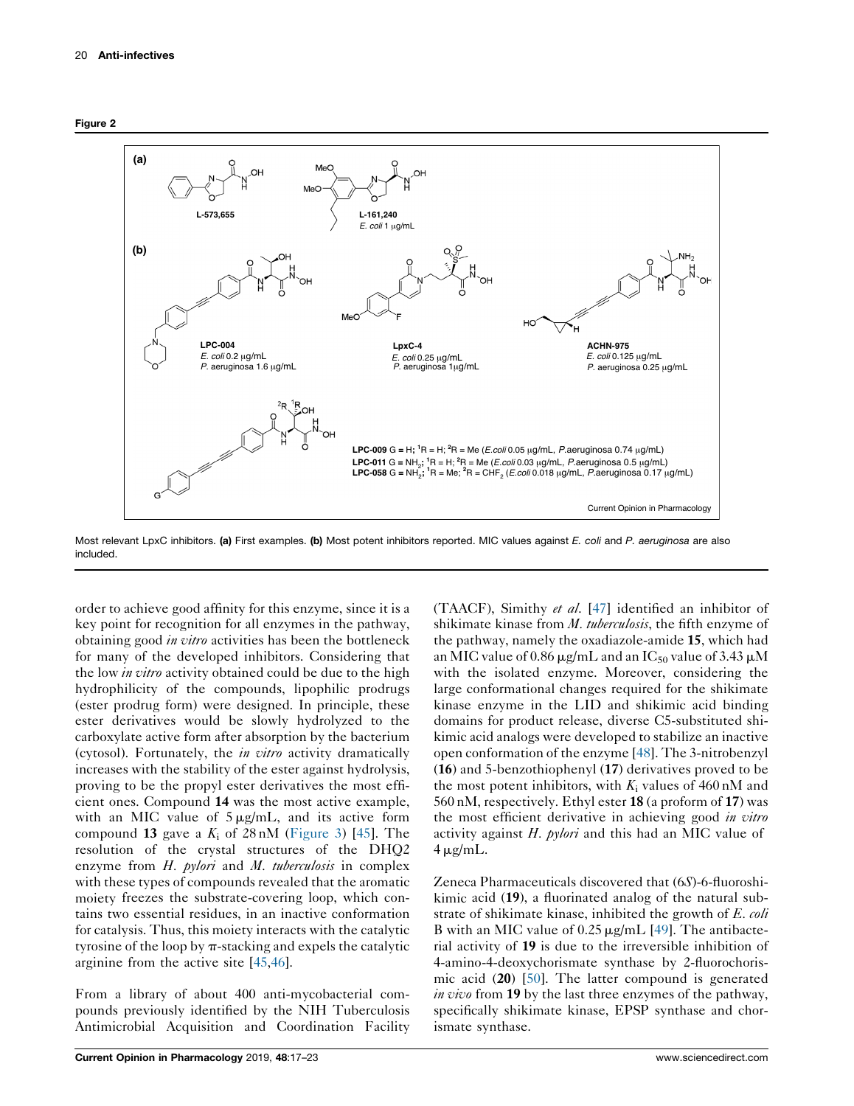<span id="page-3-0"></span>



Most relevant LpxC inhibitors. (a) First examples. (b) Most potent inhibitors reported. MIC values against E. coli and P. aeruginosa are also included.

order to achieve good affinity for this enzyme, since it is a key point for recognition for all enzymes in the pathway, obtaining good in vitro activities has been the bottleneck for many of the developed inhibitors. Considering that the low *in vitro* activity obtained could be due to the high hydrophilicity of the compounds, lipophilic prodrugs (ester prodrug form) were designed. In principle, these ester derivatives would be slowly hydrolyzed to the carboxylate active form after absorption by the bacterium (cytosol). Fortunately, the *in vitro* activity dramatically increases with the stability of the ester against hydrolysis, proving to be the propyl ester derivatives the most efficient ones. Compound 14 was the most active example, with an MIC value of  $5 \mu g/mL$ , and its active form compound 13 gave a  $K_i$  of 28 nM ([Figure](#page-4-0) 3) [[45\]](#page-6-0). The resolution of the crystal structures of the DHQ2 enzyme from H. *pylori* and M. tuberculosis in complex with these types of compounds revealed that the aromatic moiety freezes the substrate-covering loop, which contains two essential residues, in an inactive conformation for catalysis. Thus, this moiety interacts with the catalytic tyrosine of the loop by  $\pi$ -stacking and expels the catalytic arginine from the active site [\[45](#page-6-0),[46](#page-6-0)].

From a library of about 400 anti-mycobacterial compounds previously identified by the NIH Tuberculosis Antimicrobial Acquisition and Coordination Facility (TAACF), Simithy et al. [\[47](#page-6-0)] identified an inhibitor of shikimate kinase from *M. tuberculosis*, the fifth enzyme of the pathway, namely the oxadiazole-amide 15, which had an MIC value of 0.86  $\mu$ g/mL and an IC<sub>50</sub> value of 3.43  $\mu$ M with the isolated enzyme. Moreover, considering the large conformational changes required for the shikimate kinase enzyme in the LID and shikimic acid binding domains for product release, diverse C5-substituted shikimic acid analogs were developed to stabilize an inactive open conformation of the enzyme [[48\]](#page-6-0). The 3-nitrobenzyl (16) and 5-benzothiophenyl (17) derivatives proved to be the most potent inhibitors, with  $K_i$  values of 460 nM and 560 nM, respectively. Ethyl ester 18 (a proform of 17) was the most efficient derivative in achieving good *in vitro* activity against  $H$ . *pylori* and this had an MIC value of  $4 \mu$ g/mL.

Zeneca Pharmaceuticals discovered that (6S)-6-fluoroshikimic acid (19), a fluorinated analog of the natural substrate of shikimate kinase, inhibited the growth of E. coli B with an MIC value of  $0.25 \mu g/mL$  [[49\]](#page-6-0). The antibacterial activity of 19 is due to the irreversible inhibition of 4-amino-4-deoxychorismate synthase by 2-fluorochorismic acid (20) [[50\]](#page-6-0). The latter compound is generated in vivo from 19 by the last three enzymes of the pathway, specifically shikimate kinase, EPSP synthase and chorismate synthase.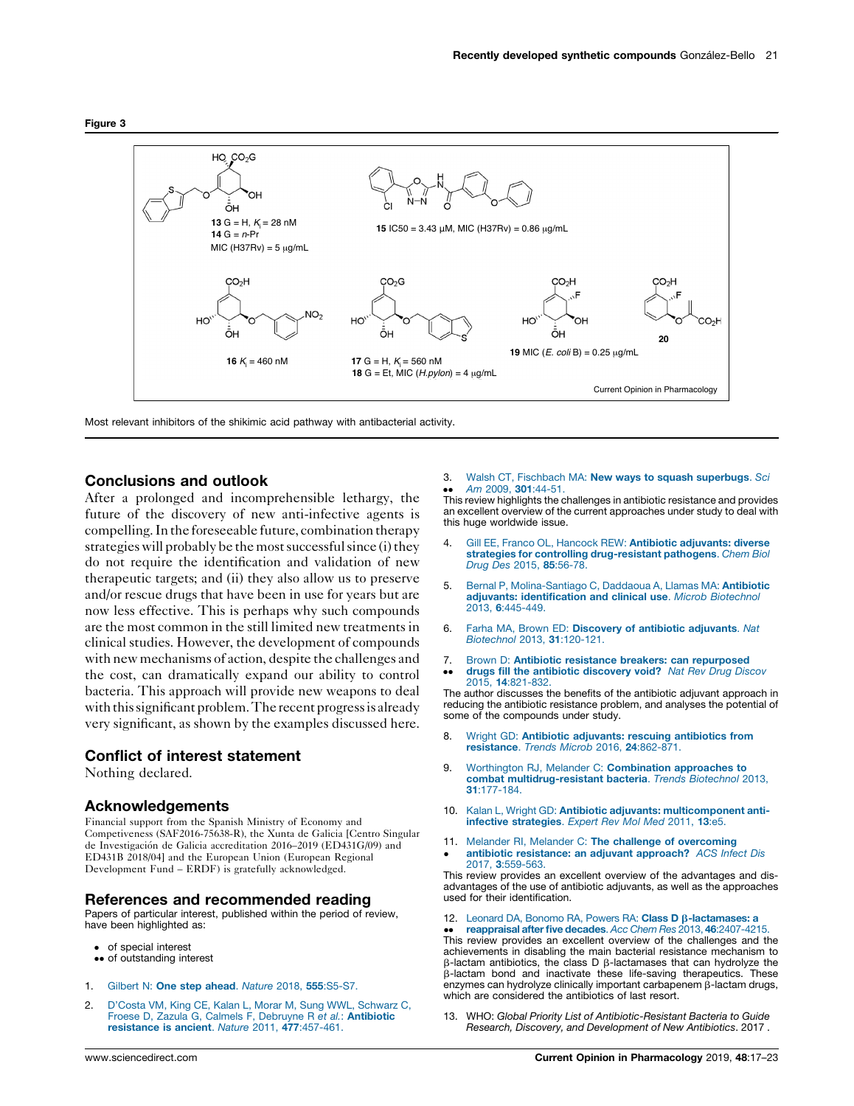<span id="page-4-0"></span>



Most relevant inhibitors of the shikimic acid pathway with antibacterial activity.

### Conclusions and outlook

After a prolonged and incomprehensible lethargy, the future of the discovery of new anti-infective agents is compelling. In the foreseeable future, combination therapy strategies will probably be the most successful since (i) they do not require the identification and validation of new therapeutic targets; and (ii) they also allow us to preserve and/or rescue drugs that have been in use for years but are now less effective. This is perhaps why such compounds are the most common in the still limited new treatments in clinical studies. However, the development of compounds with new mechanisms of action, despite the challenges and the cost, can dramatically expand our ability to control bacteria. This approach will provide new weapons to deal with this significant problem. The recent progress is already very significant, as shown by the examples discussed here.

# Conflict of interest statement

Nothing declared.

### Acknowledgements

Financial support from the Spanish Ministry of Economy and Competiveness (SAF2016-75638-R), the Xunta de Galicia [Centro Singular de Investigación de Galicia accreditation 2016–2019 (ED431G/09) and ED431B 2018/04] and the European Union (European Regional Development Fund – ERDF) is gratefully acknowledged.

### References and recommended reading

Papers of particular interest, published within the period of review, have been highlighted as:

- of special interest
- •• of outstanding interest
- 1. Gilbert N: One step ahead. Nature 2018, 555[:S5-S7.](http://refhub.elsevier.com/S1471-4892(18)30174-7/sbref0005)
- 2. D'Costa VM, King CE, Kalan L, Morar M, Sung WWL, [Schwarz](http://refhub.elsevier.com/S1471-4892(18)30174-7/sbref0010) C, Froese D, Zazula G, Calmels F, Debruyne R e*t al.*: **[Antibiotic](http://refhub.elsevier.com/S1471-4892(18)30174-7/sbref0010)**<br>**[resistance](http://refhub.elsevier.com/S1471-4892(18)30174-7/sbref0010) is ancient**. *Nature* 2011, **477**:457-461.

3. Walsh CT, Fischbach MA: New ways to squash [superbugs](http://refhub.elsevier.com/S1471-4892(18)30174-7/sbref0015). Sci Am 2009, 301[:44-51.](http://refhub.elsevier.com/S1471-4892(18)30174-7/sbref0015)

•• Am 2009, 301:44-51.<br>This review highlights the challenges in antibiotic resistance and provides an excellent overview of the current approaches under study to deal with this huge worldwide issue.

- 4. Gill EE, Franco OL, Hancock REW: Antibiotic [adjuvants:](http://refhub.elsevier.com/S1471-4892(18)30174-7/sbref0020) diverse strategies for controlling [drug-resistant](http://refhub.elsevier.com/S1471-4892(18)30174-7/sbref0020) pathogens. Chem Biol Drug Des 2015, 85[:56-78.](http://refhub.elsevier.com/S1471-4892(18)30174-7/sbref0020)
- 5. Bernal P, [Molina-Santiago](http://refhub.elsevier.com/S1471-4892(18)30174-7/sbref0025) C, Daddaoua A, Llamas MA: Antibiotic adjuvants: [identification](http://refhub.elsevier.com/S1471-4892(18)30174-7/sbref0025) and clinical use. Microb Biotechnol 2013, 6[:445-449.](http://refhub.elsevier.com/S1471-4892(18)30174-7/sbref0025)
- 6. Farha MA, Brown ED: [Discovery](http://refhub.elsevier.com/S1471-4892(18)30174-7/sbref0030) of antibiotic adjuvants. Nat [Biotechnol](http://refhub.elsevier.com/S1471-4892(18)30174-7/sbref0030) 2013, 31:120-121.
- 7. Brown D: Antibiotic resistance breakers: can [repurposed](http://refhub.elsevier.com/S1471-4892(18)30174-7/sbref0035)
- $\ddot{\phantom{0}}$ drugs fill the antibiotic [discovery](http://refhub.elsevier.com/S1471-4892(18)30174-7/sbref0035) void? Nat Rev Drug Discov 2015, 14[:821-832.](http://refhub.elsevier.com/S1471-4892(18)30174-7/sbref0035)

The author discusses the benefits of the antibiotic adjuvant approach in reducing the antibiotic resistance problem, and analyses the potential of some of the compounds under study.

- 8. Wright GD: Antibiotic adjuvants: rescuing [antibiotics](http://refhub.elsevier.com/S1471-4892(18)30174-7/sbref0040) from [resistance](http://refhub.elsevier.com/S1471-4892(18)30174-7/sbref0040). Trends Microb 2016, 24:862-871.
- 9. Worthington RJ, Melander C: [Combination](http://refhub.elsevier.com/S1471-4892(18)30174-7/sbref0045) approaches to combat [multidrug-resistant](http://refhub.elsevier.com/S1471-4892(18)30174-7/sbref0045) bacteria. Trends Biotechnol 2013, 31[:177-184.](http://refhub.elsevier.com/S1471-4892(18)30174-7/sbref0045)
- 10. Kalan L, Wright GD: Antibiotic adjuvants: [multicomponent](http://refhub.elsevier.com/S1471-4892(18)30174-7/sbref0050) antiinfective [strategies](http://refhub.elsevier.com/S1471-4892(18)30174-7/sbref0050). Expert Rev Mol Med 2011, 13:e5.
- 11. Melander RI, Melander C: The challenge of [overcoming](http://refhub.elsevier.com/S1471-4892(18)30174-7/sbref0055)  $\cdot$ antibiotic [resistance:](http://refhub.elsevier.com/S1471-4892(18)30174-7/sbref0055) an adjuvant approach? ACS Infect Dis 2017, 3[:559-563.](http://refhub.elsevier.com/S1471-4892(18)30174-7/sbref0055)

This review provides an excellent overview of the advantages and disadvantages of the use of antibiotic adjuvants, as well as the approaches used for their identification.

12. Leonard DA, Bonomo RA, Powers RA: Class  $D \beta$ [-lactamases:](http://refhub.elsevier.com/S1471-4892(18)30174-7/sbref0060) a

**••** reappraisal after five decades. Acc Chem Hes 2013, 46:2407-4215.<br>This review provides an excellent overview of the challenges and the reappraisal after five decades. Acc Chem Res 2013, 46[:2407-4215.](http://refhub.elsevier.com/S1471-4892(18)30174-7/sbref0060) achievements in disabling the main bacterial resistance mechanism to  $\beta$ -lactam antibiotics, the class D  $\beta$ -lactamases that can hydrolyze the b-lactam bond and inactivate these life-saving therapeutics. These enzymes can hydrolyze clinically important carbapenem  $\beta$ -lactam drugs, which are considered the antibiotics of last resort.

13. WHO: Global Priority List of Antibiotic-Resistant Bacteria to Guide Research, Discovery, and Development of New Antibiotics. 2017 .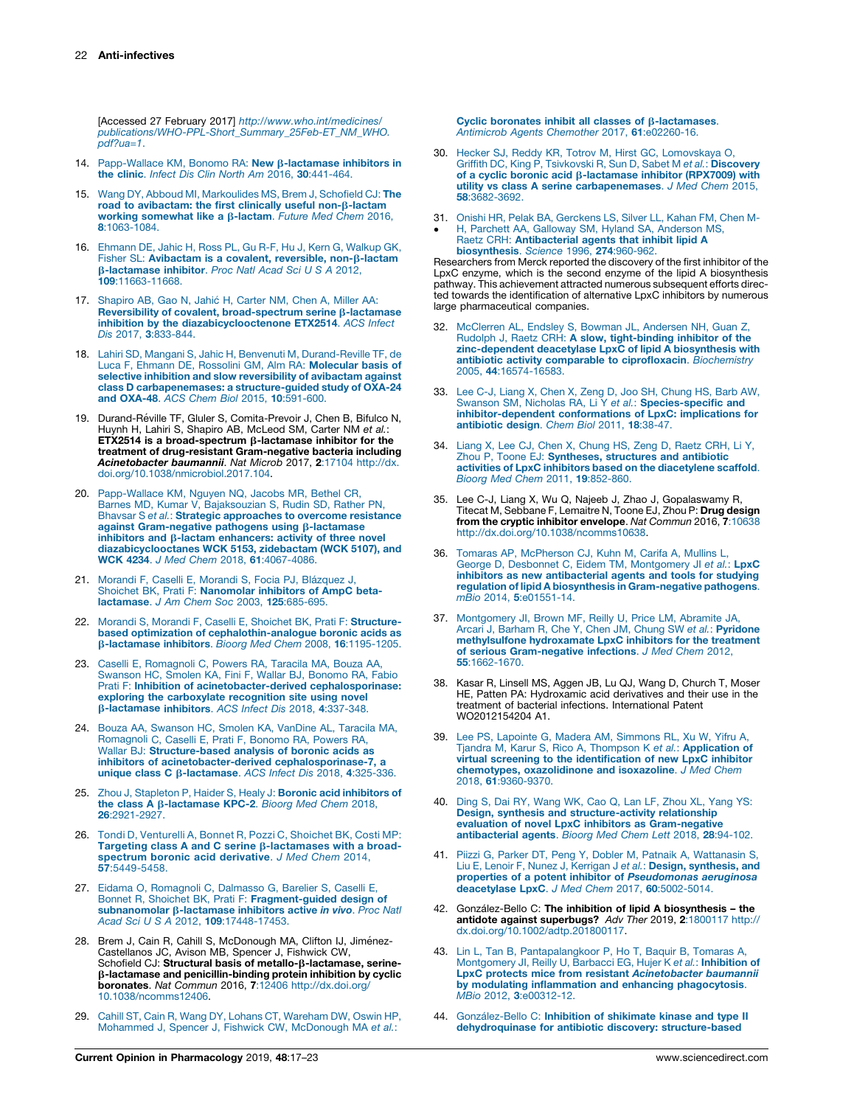<span id="page-5-0"></span>[Accessed 27 February 2017] [http://www.who.int/medicines/](http://www.who.int/medicines/publications/WHO-PPL-Short_Summary_25Feb-ET_NM_WHO.pdf?ua=1) [publications/WHO-PPL-Short\\_Summary\\_25Feb-ET\\_NM\\_WHO.](http://www.who.int/medicines/publications/WHO-PPL-Short_Summary_25Feb-ET_NM_WHO.pdf?ua=1)  $pdf2ua=1.$ 

- 14. [Papp-Wallace](http://refhub.elsevier.com/S1471-4892(18)30174-7/sbref0070) KM, Bonomo RA: New B-lactamase inhibitors in the clinic. Infect Dis Clin North Am 2016, 30[:441-464.](http://refhub.elsevier.com/S1471-4892(18)30174-7/sbref0070)
- 15. Wang DY, Abboud MI, [Markoulides](http://refhub.elsevier.com/S1471-4892(18)30174-7/sbref0075) MS, Brem J, Schofield CJ: The road to [avibactam:](http://refhub.elsevier.com/S1471-4892(18)30174-7/sbref0075) the first clinically useful non- $\beta$ -lactam working [somewhat](http://refhub.elsevier.com/S1471-4892(18)30174-7/sbref0075) like a  $\beta$ -lactam. Future Med Chem 2016, 8[:1063-1084.](http://refhub.elsevier.com/S1471-4892(18)30174-7/sbref0075)
- 16. [Ehmann](http://refhub.elsevier.com/S1471-4892(18)30174-7/sbref0080) DE, Jahic H, Ross PL, Gu R-F, Hu J, Kern G, Walkup GK, Fisher SL: [Avibactam](http://refhub.elsevier.com/S1471-4892(18)30174-7/sbref0080) is a covalent, reversible, non-B-lactam b[-lactamase](http://refhub.elsevier.com/S1471-4892(18)30174-7/sbref0080) inhibitor. Proc Natl Acad Sci U S A 2012, 109[:11663-11668.](http://refhub.elsevier.com/S1471-4892(18)30174-7/sbref0080)
- 17. [Shapiro](http://refhub.elsevier.com/S1471-4892(18)30174-7/sbref0085) AB, Gao N, Jahic H, Carter NM, Chen A, Miller AA: Reversibility of covalent, [broad-spectrum](http://refhub.elsevier.com/S1471-4892(18)30174-7/sbref0085) serine  $\beta$ -lactamase inhibition by the [diazabicyclooctenone](http://refhub.elsevier.com/S1471-4892(18)30174-7/sbref0085) ETX2514. ACS Infect Dis 2017, 3[:833-844.](http://refhub.elsevier.com/S1471-4892(18)30174-7/sbref0085)
- 18. Lahiri SD, Mangani S, Jahic H, Benvenuti M, [Durand-Reville](http://refhub.elsevier.com/S1471-4892(18)30174-7/sbref0090) TF, de Luca F, Ehmann DE, Rossolini GM, Alm RA: [Molecular](http://refhub.elsevier.com/S1471-4892(18)30174-7/sbref0090) basis of selective inhibition and slow [reversibility](http://refhub.elsevier.com/S1471-4892(18)30174-7/sbref0090) of avibactam against class D [carbapenemases:](http://refhub.elsevier.com/S1471-4892(18)30174-7/sbref0090) a structure-guided study of OXA-24 and OXA-48. ACS Chem Biol 2015, 10[:591-600.](http://refhub.elsevier.com/S1471-4892(18)30174-7/sbref0090)
- 19. Durand-Réville TF, Gluler S, Comita-Prevoir J, Chen B, Bifulco N, Huynh H, Lahiri S, Shapiro AB, McLeod SM, Carter NM et al.: ETX2514 is a broad-spectrum  $\beta$ -lactamase inhibitor for the treatment of drug-resistant Gram-negative bacteria including Acinetobacter baumannii. Nat Microb 2017, 2:17104 [http://dx.](http://dx.doi.org/10.1038/nmicrobiol.2017.104) [doi.org/10.1038/nmicrobiol.2017.104.](http://dx.doi.org/10.1038/nmicrobiol.2017.104)
- 20. [Papp-Wallace](http://refhub.elsevier.com/S1471-4892(18)30174-7/sbref0100) KM, Nguyen NQ, Jacobs MR, Bethel CR, Barnes MD, Kumar V, [Bajaksouzian](http://refhub.elsevier.com/S1471-4892(18)30174-7/sbref0100) S, Rudin SD, Rather PN, Bhavsar S et al.: Strategic [approaches](http://refhub.elsevier.com/S1471-4892(18)30174-7/sbref0100) to overcome resistance against [Gram-negative](http://refhub.elsevier.com/S1471-4892(18)30174-7/sbref0100) pathogens using  $\beta$ -lactamase inhibitors and  $\beta$ -lactam [enhancers:](http://refhub.elsevier.com/S1471-4892(18)30174-7/sbref0100) activity of three novel [diazabicyclooctanes](http://refhub.elsevier.com/S1471-4892(18)30174-7/sbref0100) WCK 5153, zidebactam (WCK 5107), and WCK 4234. J Med Chem 2018, 61[:4067-4086.](http://refhub.elsevier.com/S1471-4892(18)30174-7/sbref0100)
- 21. [Morandi](http://refhub.elsevier.com/S1471-4892(18)30174-7/sbref0105) F, Caselli E, Morandi S, Focia PJ, Blázquez J, Shoichet BK, Prati F: [Nanomolar](http://refhub.elsevier.com/S1471-4892(18)30174-7/sbref0105) inhibitors of AmpC beta[lactamase](http://refhub.elsevier.com/S1471-4892(18)30174-7/sbref0105). J Am Chem Soc 2003, 125:685-695.
- 22. Morandi S, Morandi F, Caselli E, Shoichet BK, Prati F: [Structure](http://refhub.elsevier.com/S1471-4892(18)30174-7/sbref0110)based optimization of [cephalothin-analogue](http://refhub.elsevier.com/S1471-4892(18)30174-7/sbref0110) boronic acids as b-lactamase inhibitors. Bioorg Med Chem 2008, 16[:1195-1205.](http://refhub.elsevier.com/S1471-4892(18)30174-7/sbref0110)
- 23. Caselli E, [Romagnoli](http://refhub.elsevier.com/S1471-4892(18)30174-7/sbref0115) C, Powers RA, Taracila MA, Bouza AA, [Swanson](http://refhub.elsevier.com/S1471-4892(18)30174-7/sbref0115) HC, Smolen KA, Fini F, Wallar BJ, Bonomo RA, Fabio Prati F: Inhibition of [acinetobacter-derived](http://refhub.elsevier.com/S1471-4892(18)30174-7/sbref0115) cephalosporinase: exploring the [carboxylate](http://refhub.elsevier.com/S1471-4892(18)30174-7/sbref0115) recognition site using novel b[-lactamase](http://refhub.elsevier.com/S1471-4892(18)30174-7/sbref0115) inhibitors. ACS Infect Dis 2018, 4:337-348.
- 24. Bouza AA, [Swanson](http://refhub.elsevier.com/S1471-4892(18)30174-7/sbref0120) HC, Smolen KA, VanDine AL, Taracila MA, [Romagnoli](http://refhub.elsevier.com/S1471-4892(18)30174-7/sbref0120) C, Caselli E, Prati F, Bonomo RA, Powers RA, Wallar BJ: [Structure-based](http://refhub.elsevier.com/S1471-4892(18)30174-7/sbref0120) analysis of boronic acids as inhibitors of [acinetobacter-derived](http://refhub.elsevier.com/S1471-4892(18)30174-7/sbref0120) cephalosporinase-7, a unique class C β[-lactamase](http://refhub.elsevier.com/S1471-4892(18)30174-7/sbref0120). ACS Infect Dis 2018, 4:325-336.
- 25. Zhou J, Stapleton P, Haider S, Healy J: Boronic acid [inhibitors](http://refhub.elsevier.com/S1471-4892(18)30174-7/sbref0125) of the class A b[-lactamase](http://refhub.elsevier.com/S1471-4892(18)30174-7/sbref0125) KPC-2. Bioorg Med Chem 2018, 26[:2921-2927.](http://refhub.elsevier.com/S1471-4892(18)30174-7/sbref0125)
- 26. Tondi D, [Venturelli](http://refhub.elsevier.com/S1471-4892(18)30174-7/sbref0130) A, Bonnet R, Pozzi C, Shoichet BK, Costi MP:<br>Targeting class A and C serine β[-lactamases](http://refhub.elsevier.com/S1471-4892(18)30174-7/sbref0130) with a broadspectrum boronic acid [derivative](http://refhub.elsevier.com/S1471-4892(18)30174-7/sbref0130). J Med Chem 2014, 57[:5449-5458.](http://refhub.elsevier.com/S1471-4892(18)30174-7/sbref0130)
- 27. Eidama O, [Romagnoli](http://refhub.elsevier.com/S1471-4892(18)30174-7/sbref0135) C, Dalmasso G, Barelier S, Caselli E, Bonnet R, Shoichet BK, Prati F: [Fragment-guided](http://refhub.elsevier.com/S1471-4892(18)30174-7/sbref0135) design of [subnanomolar](http://refhub.elsevier.com/S1471-4892(18)30174-7/sbref0135)  $\beta$ -lactamase inhibitors active in vivo. Proc Natl Acad Sci U S A 2012, 109[:17448-17453.](http://refhub.elsevier.com/S1471-4892(18)30174-7/sbref0135)
- 28. Brem J, Cain R, Cahill S, McDonough MA, Clifton IJ, Jiménez-Castellanos JC, Avison MB, Spencer J, Fishwick CW,<br>Schofield CJ: **Structural basis of metallo-β-lactamase, serine**b-lactamase and penicillin-binding protein inhibition by cyclic boronates. Nat Commun 2016, 7:12406 [http://dx.doi.org/](http://dx.doi.org/10.1038/ncomms12406) [10.1038/ncomms12406](http://dx.doi.org/10.1038/ncomms12406).
- 29. Cahill ST, Cain R, Wang DY, Lohans CT, [Wareham](http://refhub.elsevier.com/S1471-4892(18)30174-7/sbref0145) DW, Oswin HP, Mohammed J, Spencer J, Fishwick CW, [McDonough](http://refhub.elsevier.com/S1471-4892(18)30174-7/sbref0145) MA et al.:

Cyclic boronates inhibit all classes of  $\beta$ [-lactamases](http://refhub.elsevier.com/S1471-4892(18)30174-7/sbref0145). Antimicrob Agents Chemother 2017, 61[:e02260-16.](http://refhub.elsevier.com/S1471-4892(18)30174-7/sbref0145)

- 30. Hecker SJ, Reddy KR, Totrov M, Hirst GC, [Lomovskaya](http://refhub.elsevier.com/S1471-4892(18)30174-7/sbref0150) O, Griffith DC, King P, Tsivkovski R, Sun D, Sabet M et al.: [Discovery](http://refhub.elsevier.com/S1471-4892(18)30174-7/sbref0150) of a cyclic boronic acid  $\beta$ [-lactamase](http://refhub.elsevier.com/S1471-4892(18)30174-7/sbref0150) inhibitor (RPX7009) with utility vs class A serine [carbapenemases](http://refhub.elsevier.com/S1471-4892(18)30174-7/sbref0150). J Med Chem 2015, 58[:3682-3692.](http://refhub.elsevier.com/S1471-4892(18)30174-7/sbref0150)
- 31. Onishi HR, Pelak BA, [Gerckens](http://refhub.elsevier.com/S1471-4892(18)30174-7/sbref0155) LS, Silver LL, Kahan FM, Chen M-
- Ĩ H, Parchett AA, Galloway SM, Hyland SA, [Anderson](http://refhub.elsevier.com/S1471-4892(18)30174-7/sbref0155) MS, Raetz CRH: [Antibacterial](http://refhub.elsevier.com/S1471-4892(18)30174-7/sbref0155) agents that inhibit lipid A [biosynthesis](http://refhub.elsevier.com/S1471-4892(18)30174-7/sbref0155). Science 1996, 274:960-962.

Researchers from Merck reported the discovery of the first inhibitor of the LpxC enzyme, which is the second enzyme of the lipid A biosynthesis pathway. This achievement attracted numerous subsequent efforts directed towards the identification of alternative LpxC inhibitors by numerous large pharmaceutical companies.

- 32. [McClerren](http://refhub.elsevier.com/S1471-4892(18)30174-7/sbref0160) AL, Endsley S, Bowman JL, Andersen NH, Guan Z, Rudolph J, Raetz CRH: A slow, [tight-binding](http://refhub.elsevier.com/S1471-4892(18)30174-7/sbref0160) inhibitor of the [zinc-dependent](http://refhub.elsevier.com/S1471-4892(18)30174-7/sbref0160) deacetylase LpxC of lipid A biosynthesis with antibiotic activity comparable to [ciprofloxacin](http://refhub.elsevier.com/S1471-4892(18)30174-7/sbref0160). Biochemistry 2005, 44[:16574-16583.](http://refhub.elsevier.com/S1471-4892(18)30174-7/sbref0160)
- 33. Lee C-J, Liang X, Chen X, Zeng D, Joo SH, [Chung](http://refhub.elsevier.com/S1471-4892(18)30174-7/sbref0165) HS, Barb AW,<br>Swanson SM, Nicholas RA, Li Y *et al.*: **[Species-specific](http://refhub.elsevier.com/S1471-4892(18)30174-7/sbref0165) and** [inhibitor-dependent](http://refhub.elsevier.com/S1471-4892(18)30174-7/sbref0165) conformations of LpxC: implications for [antibiotic](http://refhub.elsevier.com/S1471-4892(18)30174-7/sbref0165) design. Chem Biol 2011, 18:38-47.
- 34. Liang X, Lee CJ, Chen X, [Chung](http://refhub.elsevier.com/S1471-4892(18)30174-7/sbref0170) HS, Zeng D, Raetz CRH, Li Y, Zhou P, Toone EJ: [Syntheses,](http://refhub.elsevier.com/S1471-4892(18)30174-7/sbref0170) structures and antibiotic activities of LpxC inhibitors based on the [diacetylene](http://refhub.elsevier.com/S1471-4892(18)30174-7/sbref0170) scaffold. Bioorg Med Chem 2011, 19[:852-860.](http://refhub.elsevier.com/S1471-4892(18)30174-7/sbref0170)
- 35. Lee C-J, Liang X, Wu Q, Najeeb J, Zhao J, Gopalaswamy R, Titecat M, Sebbane F, Lemaitre N, Toone EJ, Zhou P: **Drug design** from the cryptic inhibitor envelope. Nat Commun 2016, 7:10638 <http://dx.doi.org/10.1038/ncomms10638>.
- 36. Tomaras AP, [McPherson](http://refhub.elsevier.com/S1471-4892(18)30174-7/sbref0180) CJ, Kuhn M, Carifa A, Mullins L, George D, Desbonnet C, Eidem TM, [Montgomery](http://refhub.elsevier.com/S1471-4892(18)30174-7/sbref0180) JI et al.: LpxC inhibitors as new [antibacterial](http://refhub.elsevier.com/S1471-4892(18)30174-7/sbref0180) agents and tools for studying regulation of lipid A biosynthesis in [Gram-negative](http://refhub.elsevier.com/S1471-4892(18)30174-7/sbref0180) pathogens. mBio 2014, 5[:e01551-14.](http://refhub.elsevier.com/S1471-4892(18)30174-7/sbref0180)
- 37. [Montgomery](http://refhub.elsevier.com/S1471-4892(18)30174-7/sbref0185) JI, Brown MF, Reilly U, Price LM, Abramite JA, Arcari J, Barham R, Che Y, Chen JM, Chung SW et al.: [Pyridone](http://refhub.elsevier.com/S1471-4892(18)30174-7/sbref0185) [methylsulfone](http://refhub.elsevier.com/S1471-4892(18)30174-7/sbref0185) hydroxamate LpxC inhibitors for the treatment of serious [Gram-negative](http://refhub.elsevier.com/S1471-4892(18)30174-7/sbref0185) infections. J Med Chem 2012, 55[:1662-1670.](http://refhub.elsevier.com/S1471-4892(18)30174-7/sbref0185)
- 38. Kasar R, Linsell MS, Aggen JB, Lu QJ, Wang D, Church T, Moser HE, Patten PA: Hydroxamic acid derivatives and their use in the treatment of bacterial infections. International Patent WO2012154204 A1.
- 39. Lee PS, Lapointe G, Madera AM, [Simmons](http://refhub.elsevier.com/S1471-4892(18)30174-7/sbref0195) RL, Xu W, Yifru A, Tjandra M, Karur S, Rico A, Thompson K et al.: **[Application](http://refhub.elsevier.com/S1471-4892(18)30174-7/sbref0195) of** virtual screening to the [identification](http://refhub.elsevier.com/S1471-4892(18)30174-7/sbref0195) of new LpxC inhibitor chemotypes, [oxazolidinone](http://refhub.elsevier.com/S1471-4892(18)30174-7/sbref0195) and isoxazoline. J Med Chem 2018, 61[:9360-9370.](http://refhub.elsevier.com/S1471-4892(18)30174-7/sbref0195)
- 40. Ding S, Dai RY, [Wang](http://refhub.elsevier.com/S1471-4892(18)30174-7/sbref0200) WK, Cao Q, Lan LF, Zhou XL, Yang YS: Design, synthesis and [structure-activity](http://refhub.elsevier.com/S1471-4892(18)30174-7/sbref0200) relationship evaluation of novel LpxC inhibitors as [Gram-negative](http://refhub.elsevier.com/S1471-4892(18)30174-7/sbref0200) [antibacterial](http://refhub.elsevier.com/S1471-4892(18)30174-7/sbref0200) agents. Bioorg Med Chem Lett 2018, 28:94-102.
- 41. Piizzi G, Parker DT, Peng Y, Dobler M, Patnaik A, [Wattanasin](http://refhub.elsevier.com/S1471-4892(18)30174-7/sbref0205) S, Liu E, Lenoir F, Nunez J, Kerrigan J et al.: Design, [synthesis,](http://refhub.elsevier.com/S1471-4892(18)30174-7/sbref0205) and properties of a potent inhibitor of [Pseudomonas](http://refhub.elsevier.com/S1471-4892(18)30174-7/sbref0205) aeruginosa [deacetylase](http://refhub.elsevier.com/S1471-4892(18)30174-7/sbref0205) LpxC. J Med Chem 2017, 60:5002-5014.
- 42. González-Bello C: The inhibition of lipid A biosynthesis the antidote against superbugs? Adv Ther 2019, 2:1800117 [http://](http://dx.doi.org/10.1002/adtp.201800117) [dx.doi.org/10.1002/adtp.201800117.](http://dx.doi.org/10.1002/adtp.201800117)
- 43. Lin L, Tan B, [Pantapalangkoor](http://refhub.elsevier.com/S1471-4892(18)30174-7/sbref0215) P, Ho T, Baquir B, Tomaras A,<br>[Montgomery](http://refhub.elsevier.com/S1471-4892(18)30174-7/sbref0215) JI, Reilly U, Barbacci EG, Hujer K e*t al.*: **Inhibition of** LpxC protects mice from resistant [Acinetobacter](http://refhub.elsevier.com/S1471-4892(18)30174-7/sbref0215) baumannii by modulating inflammation and enhancing [phagocytosis](http://refhub.elsevier.com/S1471-4892(18)30174-7/sbref0215). MBio 2012, 3[:e00312-12.](http://refhub.elsevier.com/S1471-4892(18)30174-7/sbref0215)
- González-Bello C: Inhibition of [shikimate](http://refhub.elsevier.com/S1471-4892(18)30174-7/sbref0220) kinase and type II dehydroquinase for antibiotic discovery: [structure-based](http://refhub.elsevier.com/S1471-4892(18)30174-7/sbref0220)